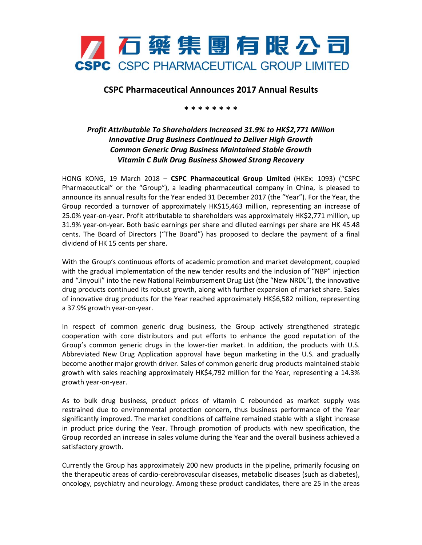

## **CSPC Pharmaceutical Announces 2017 Annual Results**

**\* \* \* \* \* \* \* \***

## *Profit Attributable To Shareholders Increased 31.9% to HK\$2,771 Million Innovative Drug Business Continued to Deliver High Growth Common Generic Drug Business Maintained Stable Growth Vitamin C Bulk Drug Business Showed Strong Recovery*

HONG KONG, 19 March 2018 – **CSPC Pharmaceutical Group Limited** (HKEx: 1093) ("CSPC Pharmaceutical" or the "Group"), a leading pharmaceutical company in China, is pleased to announce its annual results for the Year ended 31 December 2017 (the "Year"). For the Year, the Group recorded a turnover of approximately HK\$15,463 million, representing an increase of 25.0% year-on-year. Profit attributable to shareholders was approximately HK\$2,771 million, up 31.9% year-on-year. Both basic earnings per share and diluted earnings per share are HK 45.48 cents. The Board of Directors ("The Board") has proposed to declare the payment of a final dividend of HK 15 cents per share.

With the Group's continuous efforts of academic promotion and market development, coupled with the gradual implementation of the new tender results and the inclusion of "NBP" injection and "Jinyouli" into the new National Reimbursement Drug List (the "New NRDL"), the innovative drug products continued its robust growth, along with further expansion of market share. Sales of innovative drug products for the Year reached approximately HK\$6,582 million, representing a 37.9% growth year-on-year.

In respect of common generic drug business, the Group actively strengthened strategic cooperation with core distributors and put efforts to enhance the good reputation of the Group's common generic drugs in the lower-tier market. In addition, the products with U.S. Abbreviated New Drug Application approval have begun marketing in the U.S. and gradually become another major growth driver. Sales of common generic drug products maintained stable growth with sales reaching approximately HK\$4,792 million for the Year, representing a 14.3% growth year-on-year.

As to bulk drug business, product prices of vitamin C rebounded as market supply was restrained due to environmental protection concern, thus business performance of the Year significantly improved. The market conditions of caffeine remained stable with a slight increase in product price during the Year. Through promotion of products with new specification, the Group recorded an increase in sales volume during the Year and the overall business achieved a satisfactory growth.

Currently the Group has approximately 200 new products in the pipeline, primarily focusing on the therapeutic areas of cardio-cerebrovascular diseases, metabolic diseases (such as diabetes), oncology, psychiatry and neurology. Among these product candidates, there are 25 in the areas